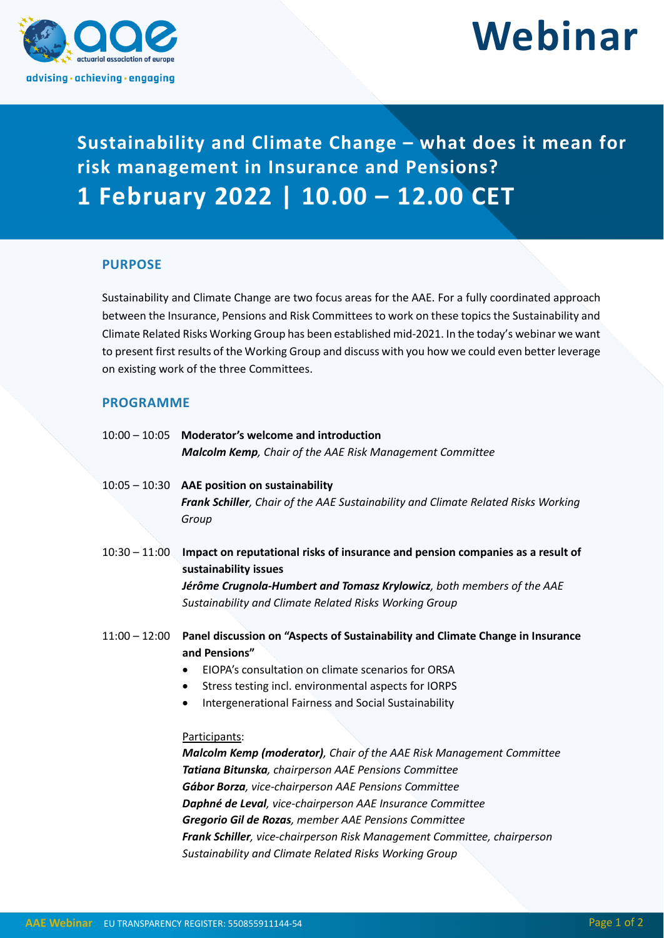

# **Webinar**

**Sustainability and Climate Change – what does it mean for risk management in Insurance and Pensions? 1 February 2022 | 10.00 – 12.00 CET**

# **PURPOSE**

Sustainability and Climate Change are two focus areas for the AAE. For a fully coordinated approach between the Insurance, Pensions and Risk Committees to work on these topics the Sustainability and Climate Related Risks Working Group has been established mid-2021. In the today's webinar we want to present first results of the Working Group and discuss with you how we could even better leverage on existing work of the three Committees.

# **PROGRAMME**

|                 | 10:00 - 10:05 Moderator's welcome and introduction                                                      |
|-----------------|---------------------------------------------------------------------------------------------------------|
|                 | <b>Malcolm Kemp</b> , Chair of the AAE Risk Management Committee                                        |
|                 | 10:05 - 10:30 AAE position on sustainability                                                            |
|                 | Frank Schiller, Chair of the AAE Sustainability and Climate Related Risks Working<br>Group              |
| $10:30 - 11:00$ | Impact on reputational risks of insurance and pension companies as a result of<br>sustainability issues |
|                 | Jérôme Crugnola-Humbert and Tomasz Krylowicz, both members of the AAE                                   |
|                 | Sustainability and Climate Related Risks Working Group                                                  |
| $11:00 - 12:00$ | Panel discussion on "Aspects of Sustainability and Climate Change in Insurance                          |
|                 | and Pensions"                                                                                           |
|                 | EIOPA's consultation on climate scenarios for ORSA                                                      |
|                 | Stress testing incl. environmental aspects for IORPS<br>$\bullet$                                       |
|                 | Intergenerational Fairness and Social Sustainability<br>٠                                               |
|                 |                                                                                                         |
|                 | Participants:                                                                                           |
|                 | Malcolm Kemp (moderator), Chair of the AAE Risk Management Committee                                    |
|                 | Tatiana Bitunska, chairperson AAE Pensions Committee                                                    |
|                 | Gábor Borza, vice-chairperson AAE Pensions Committee                                                    |
|                 | Daphné de Leval, vice-chairperson AAE Insurance Committee                                               |
|                 | Gregorio Gil de Rozas, member AAE Pensions Committee                                                    |
|                 | Frank Schiller, vice-chairperson Risk Management Committee, chairperson                                 |
|                 | Sustainability and Climate Related Risks Working Group                                                  |